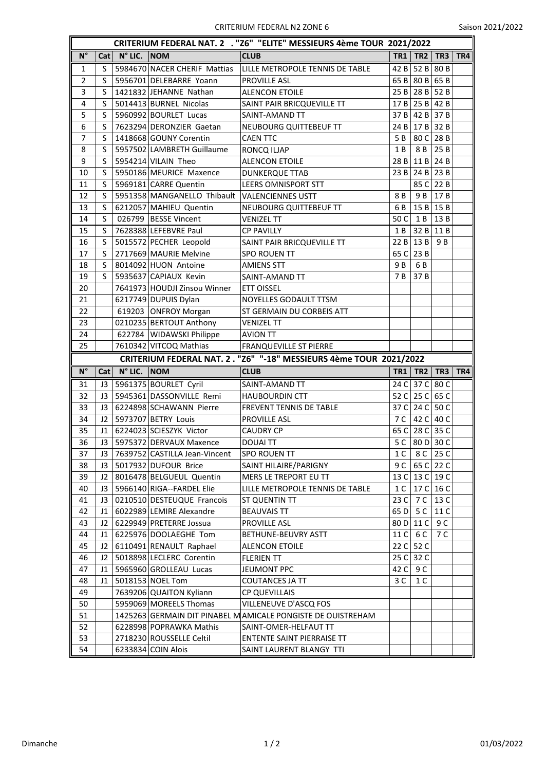|                |     |                      |                                               | CRITERIUM FEDERAL NAT. 2 . "Z6" "ELITE" MESSIEURS 4ème TOUR 2021/2022 |                 |                   |                     |     |
|----------------|-----|----------------------|-----------------------------------------------|-----------------------------------------------------------------------|-----------------|-------------------|---------------------|-----|
| $N^{\circ}$    | Cat | $N^{\circ}$ LIC. NOM |                                               | <b>CLUB</b>                                                           | <b>TR1</b>      | TR2               | TR3                 | TR4 |
| 1              | S   |                      | 5984670 NACER CHERIF Mattias                  | LILLE METROPOLE TENNIS DE TABLE                                       | 42B             | 52 B $\vert$ 80 B |                     |     |
| $\overline{2}$ | S   |                      | 5956701 DELEBARRE Yoann                       | <b>PROVILLE ASL</b>                                                   |                 | 65 B 80 B 65 B    |                     |     |
| 3              | S   |                      | 1421832 JEHANNE Nathan                        | <b>ALENCON ETOILE</b>                                                 | 25B             | $28B$ 52 B        |                     |     |
| 4              | S   |                      | 5014413 BURNEL Nicolas                        | SAINT PAIR BRICQUEVILLE TT                                            | 17B             | $25B$ 42 B        |                     |     |
| 5              | S   |                      | 5960992 BOURLET Lucas                         | SAINT-AMAND TT                                                        | 37B             |                   | 42 B 37 B           |     |
| 6              | S   |                      | 7623294 DERONZIER Gaetan                      | NEUBOURG QUITTEBEUF TT                                                | 24 B            | $17B$ 32 B        |                     |     |
| 7              | S   |                      | 1418668 GOUNY Corentin                        | <b>CAEN TTC</b>                                                       | 5 B             |                   | 80 C 28 B           |     |
| 8              | S   |                      | 5957502 LAMBRETH Guillaume                    | RONCQ ILJAP                                                           | 1B              | 8 B               | 25B                 |     |
| 9              | S   |                      | 5954214 VILAIN Theo                           | <b>ALENCON ETOILE</b>                                                 | 28 B            | $11B$ 24 B        |                     |     |
| 10             | S   |                      | 5950186 MEURICE Maxence                       | <b>DUNKERQUE TTAB</b>                                                 | 23B             | $24B$ 23 B        |                     |     |
| 11             | S   |                      | 5969181 CARRE Quentin                         | <b>LEERS OMNISPORT STT</b>                                            |                 | 85 C 22 B         |                     |     |
| 12             | S   |                      | 5951358 MANGANELLO Thibault VALENCIENNES USTT |                                                                       | 8 B             | 9 B               | 17B                 |     |
| 13             | S   |                      | 6212057 MAHIEU Quentin                        | NEUBOURG QUITTEBEUF TT                                                | 6 B             |                   | $15B$ 15 B          |     |
| 14             | S   |                      | 026799 BESSE Vincent                          | VENIZEL TT                                                            | 50 C            | 1 B               | 13B                 |     |
| 15             | S   |                      | 7628388 LEFEBVRE Paul                         | <b>CP PAVILLY</b>                                                     | 1 B             |                   | $32B$ 11 B          |     |
| 16             | S   |                      | 5015572 PECHER Leopold                        | SAINT PAIR BRICQUEVILLE TT                                            | 22B             | 13B               | 9 B                 |     |
| 17             | S   |                      | 2717669 MAURIE Melvine                        | SPO ROUEN TT                                                          | 65 C            | 23 B              |                     |     |
| 18             | S   |                      | 8014092 HUON Antoine                          | <b>AMIENS STT</b>                                                     | 9 B             | 6 B               |                     |     |
| 19             | S   |                      | 5935637 CAPIAUX Kevin                         | SAINT-AMAND TT                                                        | 7 B             | 37B               |                     |     |
| 20             |     |                      | 7641973 HOUDJI Zinsou Winner                  | <b>ETT OISSEL</b>                                                     |                 |                   |                     |     |
| 21             |     |                      | 6217749 DUPUIS Dylan                          | NOYELLES GODAULT TTSM                                                 |                 |                   |                     |     |
| 22             |     |                      | 619203 ONFROY Morgan                          | ST GERMAIN DU CORBEIS ATT                                             |                 |                   |                     |     |
| 23             |     |                      | 0210235 BERTOUT Anthony                       | <b>VENIZEL TT</b>                                                     |                 |                   |                     |     |
| 24             |     |                      | 622784   WIDAWSKI Philippe                    | AVION TT                                                              |                 |                   |                     |     |
|                |     |                      |                                               |                                                                       |                 |                   |                     |     |
| 25             |     |                      | 7610342 VITCOQ Mathias                        | <b>FRANQUEVILLE ST PIERRE</b>                                         |                 |                   |                     |     |
|                |     |                      |                                               | CRITERIUM FEDERAL NAT. 2. "Z6" "-18" MESSIEURS 4ème TOUR 2021/2022    |                 |                   |                     |     |
| $N^{\circ}$    | Cat | $N^{\circ}$ LIC. NOM |                                               | <b>CLUB</b>                                                           | <b>TR1</b>      | TR2               | TR <sub>3</sub>     | TR4 |
| 31             | J3  |                      | 5961375 BOURLET Cyril                         | SAINT-AMAND TT                                                        | 24 C            | 37 <sup>C</sup>   | 80 C                |     |
| 32             | J3  |                      | 5945361 DASSONVILLE Remi                      | <b>HAUBOURDIN CTT</b>                                                 | 52 C            |                   | 25 C 65 C           |     |
| 33             | J3  |                      | 6224898 SCHAWANN Pierre                       | FREVENT TENNIS DE TABLE                                               | 37 C            |                   | 24 C 50 C           |     |
| 34             | J2  |                      | 5973707 BETRY Louis                           | <b>PROVILLE ASL</b>                                                   | 7 C             |                   | 42 C 40 C           |     |
| 35             | J1  |                      | 6224023 SCIESZYK Victor                       | <b>CAUDRY CP</b>                                                      | 65 C            |                   | $28 \text{ C}$ 35 C |     |
| 36             | J3  |                      | 5975372 DERVAUX Maxence                       | <b>DOUALTT</b>                                                        | 5 C             | 80 D 30 C         |                     |     |
| 37             | J3  |                      | 7639752 CASTILLA Jean-Vincent                 | <b>SPO ROUEN TT</b>                                                   | 1 C             |                   | $8C$ 25 C           |     |
| 38             | J3  |                      | 5017932 DUFOUR Brice                          | SAINT HILAIRE/PARIGNY                                                 | 9 C             |                   | 65 C 22 C           |     |
| 39             | J2  |                      | 8016478 BELGUEUL Quentin                      | MERS LE TREPORT EU TT                                                 | 13 <sup>C</sup> |                   | 13 C 19 C           |     |
| 40             | J3  |                      | 5966140 RIGA--FARDEL Elie                     | LILLE METROPOLE TENNIS DE TABLE                                       | 1 C             |                   | 17 C $16$ C         |     |
| 41             | J3  |                      | 0210510 DESTEUQUE Francois                    | ST QUENTIN TT                                                         | 23 C            | 7 C               | 13 C                |     |
| 42             | J1  |                      | 6022989 LEMIRE Alexandre                      | <b>BEAUVAIS TT</b>                                                    | 65 D            | 5 C               | 11 C                |     |
| 43             | J2  |                      | 6229949 PRETERRE Jossua                       | PROVILLE ASL                                                          | 80D             | 11 C              | 9 C                 |     |
| 44             | J1  |                      | 6225976 DOOLAEGHE Tom                         | BETHUNE-BEUVRY ASTT                                                   |                 | 6 C               | 7 C                 |     |
| 45             | J2  |                      | 6110491 RENAULT Raphael                       | <b>ALENCON ETOILE</b>                                                 | 11 C<br>22C     | 52 C              |                     |     |
| 46             | J2  |                      | 5018898 LECLERC Corentin                      | <b>FLERIEN TT</b>                                                     | 25 C            | 32 C              |                     |     |
| 47             | J1  |                      | 5965960 GROLLEAU Lucas                        | JEUMONT PPC                                                           | 42 C            | 9 C               |                     |     |
| 48             | J1  |                      | 5018153 NOEL Tom                              | COUTANCES JA TT                                                       | 3 C             | 1 C               |                     |     |
| 49             |     |                      | 7639206 QUAITON Kyliann                       | <b>CP QUEVILLAIS</b>                                                  |                 |                   |                     |     |
|                |     |                      | 5959069 MOREELS Thomas                        | VILLENEUVE D'ASCQ FOS                                                 |                 |                   |                     |     |
| 50<br>51       |     |                      |                                               | 1425263 GERMAIN DIT PINABEL MAMICALE PONGISTE DE OUISTREHAM           |                 |                   |                     |     |
| 52             |     |                      | 6228998 POPRAWKA Mathis                       | SAINT-OMER-HELFAUT TT                                                 |                 |                   |                     |     |
| 53             |     |                      | 2718230 ROUSSELLE Celtil                      | ENTENTE SAINT PIERRAISE TT                                            |                 |                   |                     |     |